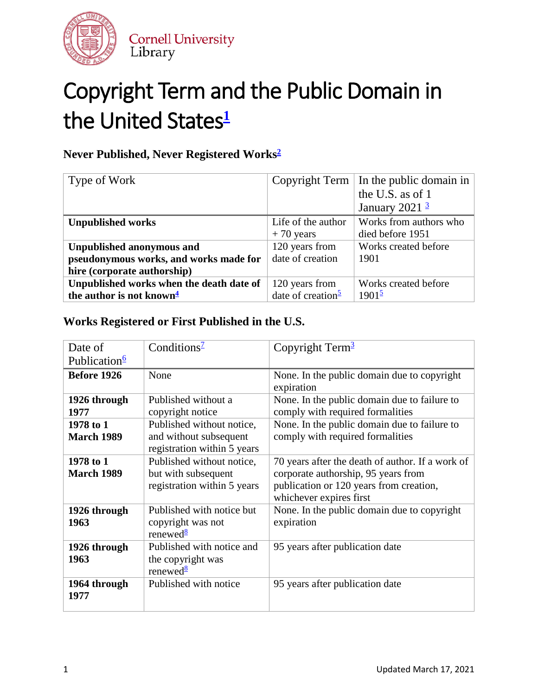

## Copyright Term and the Public Domain in the United States<sup>[1](#page-7-0)</sup>

### **Never Published, Never Registered Work[s2](#page-8-0)**

| Type of Work                             |                                | Copyright Term   In the public domain in |
|------------------------------------------|--------------------------------|------------------------------------------|
|                                          |                                | the U.S. as of 1                         |
|                                          |                                | January 2021 $\frac{3}{2}$               |
| <b>Unpublished works</b>                 | Life of the author             | Works from authors who                   |
|                                          | $+70$ years                    | died before 1951                         |
| <b>Unpublished anonymous and</b>         | 120 years from                 | Works created before                     |
| pseudonymous works, and works made for   | date of creation               | 1901                                     |
| hire (corporate authorship)              |                                |                                          |
| Unpublished works when the death date of | 120 years from                 | Works created before                     |
| the author is not known <sup>4</sup>     | date of creation $\frac{5}{2}$ | $1901^{\frac{5}{2}}$                     |

### **Works Registered or First Published in the U.S.**

| Date of<br>Publication <sup>6</sup> | Conditions <sup><math>2</math></sup>                                               | Copyright Term $3$                                                                                                                                            |
|-------------------------------------|------------------------------------------------------------------------------------|---------------------------------------------------------------------------------------------------------------------------------------------------------------|
| Before 1926                         | None                                                                               | None. In the public domain due to copyright<br>expiration                                                                                                     |
| 1926 through<br>1977                | Published without a<br>copyright notice                                            | None. In the public domain due to failure to<br>comply with required formalities                                                                              |
| 1978 to 1<br><b>March 1989</b>      | Published without notice,<br>and without subsequent<br>registration within 5 years | None. In the public domain due to failure to<br>comply with required formalities                                                                              |
| 1978 to 1<br><b>March 1989</b>      | Published without notice,<br>but with subsequent<br>registration within 5 years    | 70 years after the death of author. If a work of<br>corporate authorship, 95 years from<br>publication or 120 years from creation,<br>whichever expires first |
| 1926 through<br>1963                | Published with notice but<br>copyright was not<br>renewed $\frac{8}{3}$            | None. In the public domain due to copyright<br>expiration                                                                                                     |
| 1926 through<br>1963                | Published with notice and<br>the copyright was<br>renewed $\frac{8}{3}$            | 95 years after publication date                                                                                                                               |
| 1964 through<br>1977                | Published with notice                                                              | 95 years after publication date                                                                                                                               |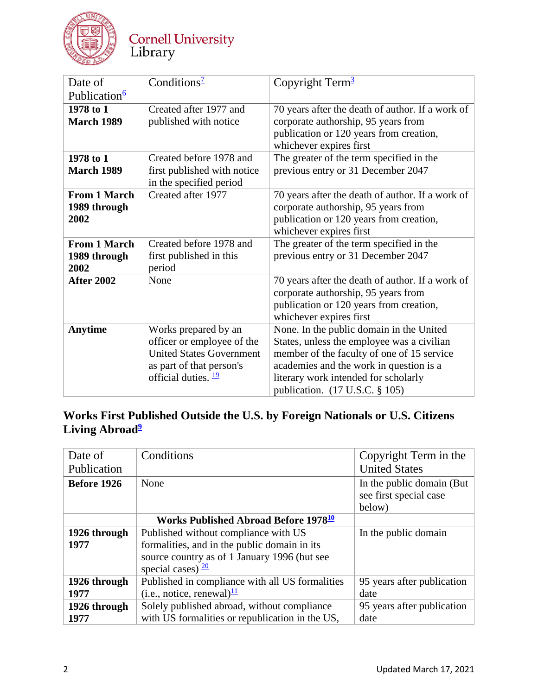

## Cornell University<br>Library

| Date of                  | Conditions <sup>1</sup>         | Copyright Term $3$                               |
|--------------------------|---------------------------------|--------------------------------------------------|
| Publication <sup>6</sup> |                                 |                                                  |
| 1978 to 1                | Created after 1977 and          | 70 years after the death of author. If a work of |
| <b>March 1989</b>        | published with notice           | corporate authorship, 95 years from              |
|                          |                                 | publication or 120 years from creation,          |
|                          |                                 | whichever expires first                          |
| 1978 to 1                | Created before 1978 and         | The greater of the term specified in the         |
| <b>March 1989</b>        | first published with notice     | previous entry or 31 December 2047               |
|                          | in the specified period         |                                                  |
| <b>From 1 March</b>      | Created after 1977              | 70 years after the death of author. If a work of |
| 1989 through             |                                 | corporate authorship, 95 years from              |
| 2002                     |                                 | publication or 120 years from creation,          |
|                          |                                 | whichever expires first                          |
| <b>From 1 March</b>      | Created before 1978 and         | The greater of the term specified in the         |
| 1989 through             | first published in this         | previous entry or 31 December 2047               |
| 2002                     | period                          |                                                  |
| <b>After 2002</b>        | None                            | 70 years after the death of author. If a work of |
|                          |                                 | corporate authorship, 95 years from              |
|                          |                                 | publication or 120 years from creation,          |
|                          |                                 | whichever expires first                          |
| <b>Anytime</b>           | Works prepared by an            | None. In the public domain in the United         |
|                          | officer or employee of the      | States, unless the employee was a civilian       |
|                          | <b>United States Government</b> | member of the faculty of one of 15 service       |
|                          | as part of that person's        | academies and the work in question is a          |
|                          | official duties. $\frac{19}{2}$ | literary work intended for scholarly             |
|                          |                                 | publication. (17 U.S.C. § 105)                   |

### **Works First Published Outside the U.S. by Foreign Nationals or U.S. Citizens**  Living Abroad<sup>2</sup>

| Date of            | Conditions                                             | Copyright Term in the      |
|--------------------|--------------------------------------------------------|----------------------------|
| Publication        |                                                        | <b>United States</b>       |
| <b>Before 1926</b> | None                                                   | In the public domain (But) |
|                    |                                                        | see first special case     |
|                    |                                                        | below)                     |
|                    | <b>Works Published Abroad Before 1978<sup>10</sup></b> |                            |
| 1926 through       | Published without compliance with US                   | In the public domain       |
| 1977               | formalities, and in the public domain in its           |                            |
|                    | source country as of 1 January 1996 (but see           |                            |
|                    | special cases) $\frac{20}{ }$                          |                            |
| 1926 through       | Published in compliance with all US formalities        | 95 years after publication |
| 1977               | (i.e., notice, renewal) $\frac{11}{2}$                 | date                       |
| 1926 through       | Solely published abroad, without compliance            | 95 years after publication |
| 1977               | with US formalities or republication in the US,        | date                       |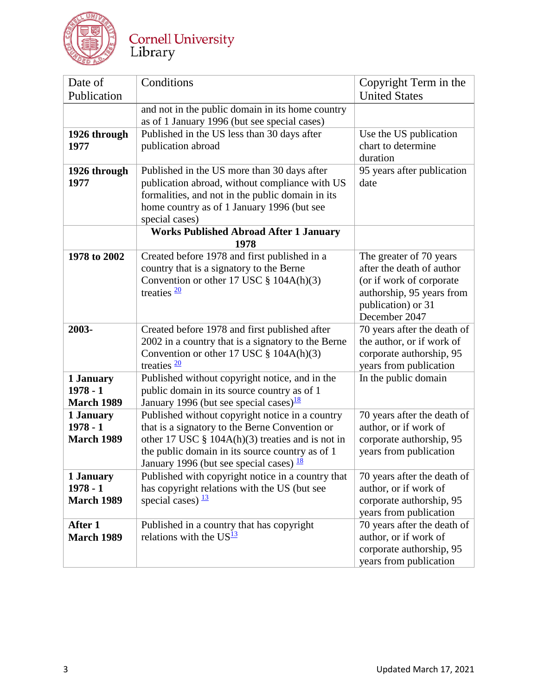

# Cornell University<br>Library

| Date of           | Conditions                                                                                          | Copyright Term in the                                    |
|-------------------|-----------------------------------------------------------------------------------------------------|----------------------------------------------------------|
| Publication       |                                                                                                     | <b>United States</b>                                     |
|                   | and not in the public domain in its home country                                                    |                                                          |
|                   | as of 1 January 1996 (but see special cases)                                                        |                                                          |
| 1926 through      | Published in the US less than 30 days after                                                         | Use the US publication                                   |
| 1977              | publication abroad                                                                                  | chart to determine                                       |
|                   |                                                                                                     | duration                                                 |
| 1926 through      | Published in the US more than 30 days after                                                         | 95 years after publication                               |
| 1977              | publication abroad, without compliance with US                                                      | date                                                     |
|                   | formalities, and not in the public domain in its                                                    |                                                          |
|                   | home country as of 1 January 1996 (but see                                                          |                                                          |
|                   | special cases)                                                                                      |                                                          |
|                   | <b>Works Published Abroad After 1 January</b>                                                       |                                                          |
|                   | 1978                                                                                                |                                                          |
| 1978 to 2002      | Created before 1978 and first published in a                                                        | The greater of 70 years                                  |
|                   | country that is a signatory to the Berne                                                            | after the death of author                                |
|                   | Convention or other 17 USC $\S$ 104A(h)(3)                                                          | (or if work of corporate                                 |
|                   | treaties $\frac{20}{2}$                                                                             | authorship, 95 years from                                |
|                   |                                                                                                     | publication) or 31<br>December 2047                      |
| 2003-             |                                                                                                     |                                                          |
|                   | Created before 1978 and first published after<br>2002 in a country that is a signatory to the Berne | 70 years after the death of<br>the author, or if work of |
|                   | Convention or other 17 USC $\S$ 104A(h)(3)                                                          | corporate authorship, 95                                 |
|                   | treaties $\frac{20}{2}$                                                                             | years from publication                                   |
| 1 January         | Published without copyright notice, and in the                                                      | In the public domain                                     |
| $1978 - 1$        | public domain in its source country as of 1                                                         |                                                          |
| <b>March 1989</b> | January 1996 (but see special cases) $\frac{18}{18}$                                                |                                                          |
| 1 January         | Published without copyright notice in a country                                                     | 70 years after the death of                              |
| $1978 - 1$        | that is a signatory to the Berne Convention or                                                      | author, or if work of                                    |
| <b>March 1989</b> | other 17 USC $\S$ 104A(h)(3) treaties and is not in                                                 | corporate authorship, 95                                 |
|                   | the public domain in its source country as of 1                                                     | years from publication                                   |
|                   | January 1996 (but see special cases) $\frac{18}{18}$                                                |                                                          |
| 1 January         | Published with copyright notice in a country that                                                   | 70 years after the death of                              |
| $1978 - 1$        | has copyright relations with the US (but see                                                        | author, or if work of                                    |
| <b>March 1989</b> | special cases) $\frac{13}{2}$                                                                       | corporate authorship, 95                                 |
|                   |                                                                                                     | years from publication                                   |
| After 1           | Published in a country that has copyright                                                           | 70 years after the death of                              |
| <b>March 1989</b> | relations with the $US^{\frac{13}{2}}$                                                              | author, or if work of                                    |
|                   |                                                                                                     | corporate authorship, 95                                 |
|                   |                                                                                                     | years from publication                                   |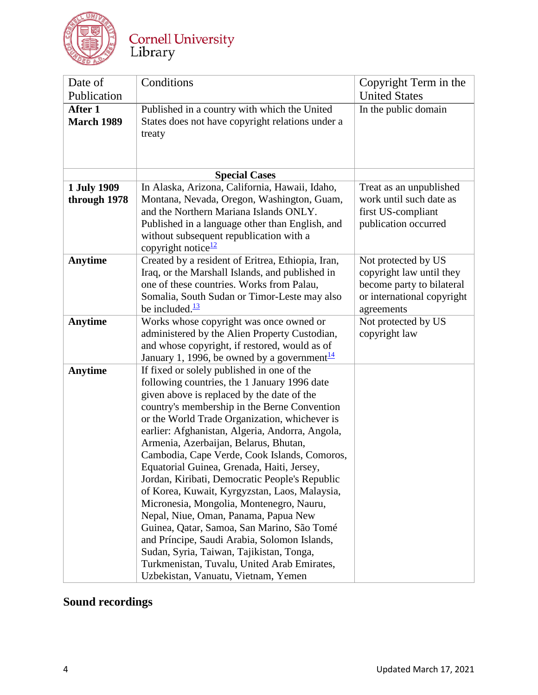

| Date of<br>Publication       | Conditions                                                                                                                                                                                                                                                                                                                                                                                                                                                                                                                                                                                                                                                                                                                                                                                                                                                 | Copyright Term in the<br><b>United States</b>                                                                            |
|------------------------------|------------------------------------------------------------------------------------------------------------------------------------------------------------------------------------------------------------------------------------------------------------------------------------------------------------------------------------------------------------------------------------------------------------------------------------------------------------------------------------------------------------------------------------------------------------------------------------------------------------------------------------------------------------------------------------------------------------------------------------------------------------------------------------------------------------------------------------------------------------|--------------------------------------------------------------------------------------------------------------------------|
| After 1<br><b>March 1989</b> | Published in a country with which the United<br>States does not have copyright relations under a<br>treaty                                                                                                                                                                                                                                                                                                                                                                                                                                                                                                                                                                                                                                                                                                                                                 | In the public domain                                                                                                     |
|                              | <b>Special Cases</b>                                                                                                                                                                                                                                                                                                                                                                                                                                                                                                                                                                                                                                                                                                                                                                                                                                       |                                                                                                                          |
| 1 July 1909<br>through 1978  | In Alaska, Arizona, California, Hawaii, Idaho,<br>Montana, Nevada, Oregon, Washington, Guam,<br>and the Northern Mariana Islands ONLY.<br>Published in a language other than English, and<br>without subsequent republication with a<br>copyright notice <sup>12</sup>                                                                                                                                                                                                                                                                                                                                                                                                                                                                                                                                                                                     | Treat as an unpublished<br>work until such date as<br>first US-compliant<br>publication occurred                         |
| <b>Anytime</b>               | Created by a resident of Eritrea, Ethiopia, Iran,<br>Iraq, or the Marshall Islands, and published in<br>one of these countries. Works from Palau,<br>Somalia, South Sudan or Timor-Leste may also<br>be included. $\frac{13}{2}$                                                                                                                                                                                                                                                                                                                                                                                                                                                                                                                                                                                                                           | Not protected by US<br>copyright law until they<br>become party to bilateral<br>or international copyright<br>agreements |
| <b>Anytime</b>               | Works whose copyright was once owned or<br>administered by the Alien Property Custodian,<br>and whose copyright, if restored, would as of<br>January 1, 1996, be owned by a government $\frac{14}{1}$                                                                                                                                                                                                                                                                                                                                                                                                                                                                                                                                                                                                                                                      | Not protected by US<br>copyright law                                                                                     |
| <b>Anytime</b>               | If fixed or solely published in one of the<br>following countries, the 1 January 1996 date<br>given above is replaced by the date of the<br>country's membership in the Berne Convention<br>or the World Trade Organization, whichever is<br>earlier: Afghanistan, Algeria, Andorra, Angola,<br>Armenia, Azerbaijan, Belarus, Bhutan,<br>Cambodia, Cape Verde, Cook Islands, Comoros,<br>Equatorial Guinea, Grenada, Haiti, Jersey,<br>Jordan, Kiribati, Democratic People's Republic<br>of Korea, Kuwait, Kyrgyzstan, Laos, Malaysia,<br>Micronesia, Mongolia, Montenegro, Nauru,<br>Nepal, Niue, Oman, Panama, Papua New<br>Guinea, Qatar, Samoa, San Marino, São Tomé<br>and Príncipe, Saudi Arabia, Solomon Islands,<br>Sudan, Syria, Taiwan, Tajikistan, Tonga,<br>Turkmenistan, Tuvalu, United Arab Emirates,<br>Uzbekistan, Vanuatu, Vietnam, Yemen |                                                                                                                          |

## **Sound recordings**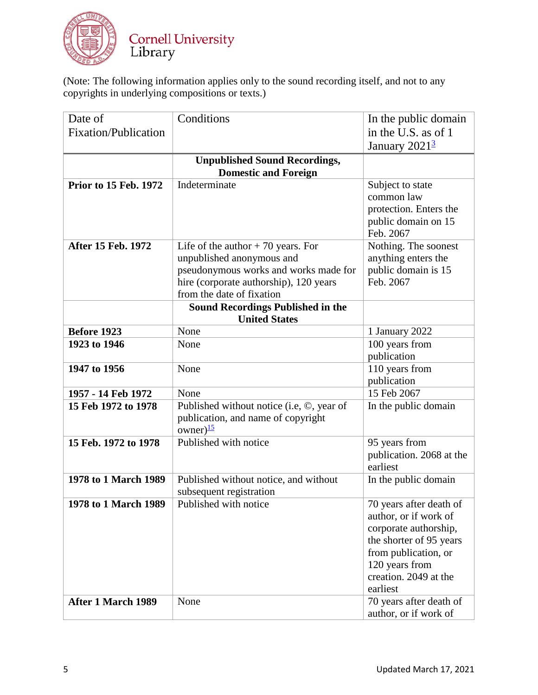

(Note: The following information applies only to the sound recording itself, and not to any copyrights in underlying compositions or texts.)

| Date of                      | Conditions                                                         | In the public domain                        |
|------------------------------|--------------------------------------------------------------------|---------------------------------------------|
| <b>Fixation/Publication</b>  |                                                                    | in the U.S. as of 1                         |
|                              |                                                                    | January $20213$                             |
|                              | <b>Unpublished Sound Recordings,</b>                               |                                             |
|                              | <b>Domestic and Foreign</b>                                        |                                             |
| <b>Prior to 15 Feb. 1972</b> | Indeterminate                                                      | Subject to state                            |
|                              |                                                                    | common law                                  |
|                              |                                                                    | protection. Enters the                      |
|                              |                                                                    | public domain on 15                         |
|                              |                                                                    | Feb. 2067                                   |
| After 15 Feb. 1972           | Life of the author $+70$ years. For                                | Nothing. The soonest<br>anything enters the |
|                              | unpublished anonymous and<br>pseudonymous works and works made for | public domain is 15                         |
|                              | hire (corporate authorship), 120 years                             | Feb. 2067                                   |
|                              | from the date of fixation                                          |                                             |
|                              | <b>Sound Recordings Published in the</b>                           |                                             |
|                              | <b>United States</b>                                               |                                             |
| Before 1923                  | None                                                               | 1 January 2022                              |
| 1923 to 1946                 | None                                                               | 100 years from                              |
|                              |                                                                    | publication                                 |
| 1947 to 1956                 | None                                                               | 110 years from                              |
|                              |                                                                    | publication                                 |
| 1957 - 14 Feb 1972           | None                                                               | 15 Feb 2067                                 |
| 15 Feb 1972 to 1978          | Published without notice (i.e, ©, year of                          | In the public domain                        |
|                              | publication, and name of copyright<br>owner) $\frac{15}{2}$        |                                             |
| 15 Feb. 1972 to 1978         | Published with notice                                              | 95 years from                               |
|                              |                                                                    | publication. 2068 at the                    |
|                              |                                                                    | earliest                                    |
| 1978 to 1 March 1989         | Published without notice, and without<br>subsequent registration   | In the public domain                        |
| 1978 to 1 March 1989         | Published with notice                                              | 70 years after death of                     |
|                              |                                                                    | author, or if work of                       |
|                              |                                                                    | corporate authorship,                       |
|                              |                                                                    | the shorter of 95 years                     |
|                              |                                                                    | from publication, or                        |
|                              |                                                                    | 120 years from                              |
|                              |                                                                    | creation. 2049 at the                       |
|                              |                                                                    | earliest                                    |
| After 1 March 1989           | None                                                               | 70 years after death of                     |
|                              |                                                                    | author, or if work of                       |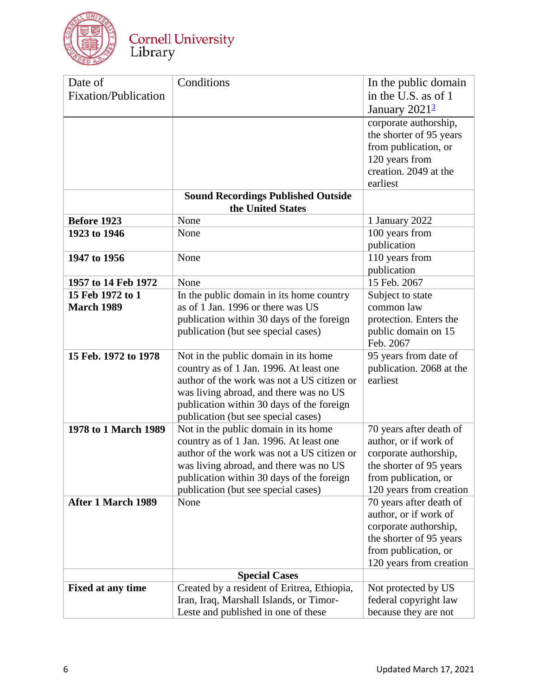

| Date of                     | Conditions                                                                                                                                                                                                                                                  | In the public domain                                                                                                                                    |
|-----------------------------|-------------------------------------------------------------------------------------------------------------------------------------------------------------------------------------------------------------------------------------------------------------|---------------------------------------------------------------------------------------------------------------------------------------------------------|
| <b>Fixation/Publication</b> |                                                                                                                                                                                                                                                             | in the U.S. as of 1<br>January $20213$                                                                                                                  |
|                             |                                                                                                                                                                                                                                                             | corporate authorship,<br>the shorter of 95 years<br>from publication, or<br>120 years from<br>creation. 2049 at the<br>earliest                         |
|                             | <b>Sound Recordings Published Outside</b><br>the United States                                                                                                                                                                                              |                                                                                                                                                         |
| <b>Before 1923</b>          | None                                                                                                                                                                                                                                                        | 1 January 2022                                                                                                                                          |
| 1923 to 1946                | None                                                                                                                                                                                                                                                        | 100 years from<br>publication                                                                                                                           |
| 1947 to 1956                | None                                                                                                                                                                                                                                                        | 110 years from<br>publication                                                                                                                           |
| 1957 to 14 Feb 1972         | None                                                                                                                                                                                                                                                        | 15 Feb. 2067                                                                                                                                            |
| 15 Feb 1972 to 1            | In the public domain in its home country                                                                                                                                                                                                                    | Subject to state                                                                                                                                        |
| <b>March 1989</b>           | as of 1 Jan. 1996 or there was US                                                                                                                                                                                                                           | common law                                                                                                                                              |
|                             | publication within 30 days of the foreign                                                                                                                                                                                                                   | protection. Enters the                                                                                                                                  |
|                             | publication (but see special cases)                                                                                                                                                                                                                         | public domain on 15<br>Feb. 2067                                                                                                                        |
| 15 Feb. 1972 to 1978        | Not in the public domain in its home<br>country as of 1 Jan. 1996. At least one<br>author of the work was not a US citizen or<br>was living abroad, and there was no US<br>publication within 30 days of the foreign<br>publication (but see special cases) | 95 years from date of<br>publication. 2068 at the<br>earliest                                                                                           |
| 1978 to 1 March 1989        | Not in the public domain in its home<br>country as of 1 Jan. 1996. At least one<br>author of the work was not a US citizen or<br>was living abroad, and there was no US<br>publication within 30 days of the foreign<br>publication (but see special cases) | 70 years after death of<br>author, or if work of<br>corporate authorship,<br>the shorter of 95 years<br>from publication, or<br>120 years from creation |
| After 1 March 1989          | None                                                                                                                                                                                                                                                        | 70 years after death of<br>author, or if work of<br>corporate authorship,<br>the shorter of 95 years<br>from publication, or<br>120 years from creation |
|                             | <b>Special Cases</b>                                                                                                                                                                                                                                        |                                                                                                                                                         |
| Fixed at any time           | Created by a resident of Eritrea, Ethiopia,<br>Iran, Iraq, Marshall Islands, or Timor-<br>Leste and published in one of these                                                                                                                               | Not protected by US<br>federal copyright law<br>because they are not                                                                                    |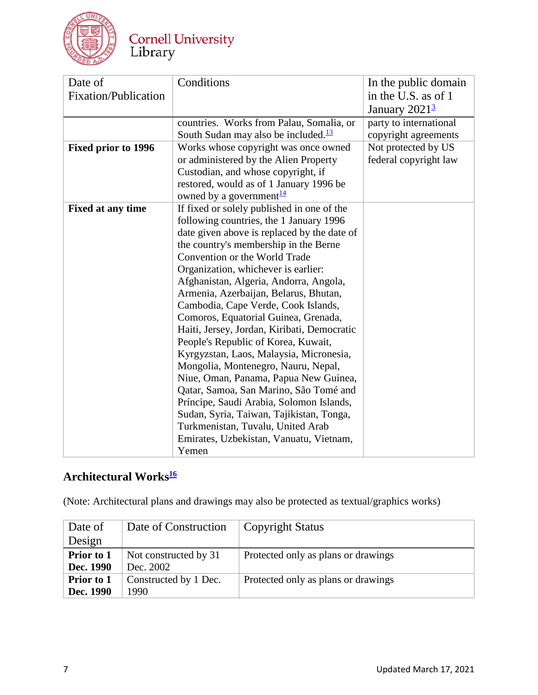

## Cornell University<br>Library

| Date of                    | Conditions                                       | In the public domain         |
|----------------------------|--------------------------------------------------|------------------------------|
| Fixation/Publication       |                                                  | in the U.S. as of 1          |
|                            |                                                  | January $2021^{\frac{3}{2}}$ |
|                            | countries. Works from Palau, Somalia, or         | party to international       |
|                            | South Sudan may also be included. $\frac{13}{2}$ | copyright agreements         |
| <b>Fixed prior to 1996</b> | Works whose copyright was once owned             | Not protected by US          |
|                            | or administered by the Alien Property            | federal copyright law        |
|                            | Custodian, and whose copyright, if               |                              |
|                            | restored, would as of 1 January 1996 be          |                              |
|                            | owned by a government <sup>14</sup>              |                              |
| <b>Fixed at any time</b>   | If fixed or solely published in one of the       |                              |
|                            | following countries, the 1 January 1996          |                              |
|                            | date given above is replaced by the date of      |                              |
|                            | the country's membership in the Berne            |                              |
|                            | Convention or the World Trade                    |                              |
|                            | Organization, whichever is earlier:              |                              |
|                            | Afghanistan, Algeria, Andorra, Angola,           |                              |
|                            | Armenia, Azerbaijan, Belarus, Bhutan,            |                              |
|                            | Cambodia, Cape Verde, Cook Islands,              |                              |
|                            | Comoros, Equatorial Guinea, Grenada,             |                              |
|                            | Haiti, Jersey, Jordan, Kiribati, Democratic      |                              |
|                            | People's Republic of Korea, Kuwait,              |                              |
|                            | Kyrgyzstan, Laos, Malaysia, Micronesia,          |                              |
|                            | Mongolia, Montenegro, Nauru, Nepal,              |                              |
|                            | Niue, Oman, Panama, Papua New Guinea,            |                              |
|                            | Qatar, Samoa, San Marino, São Tomé and           |                              |
|                            | Príncipe, Saudi Arabia, Solomon Islands,         |                              |
|                            | Sudan, Syria, Taiwan, Tajikistan, Tonga,         |                              |
|                            | Turkmenistan, Tuvalu, United Arab                |                              |
|                            | Emirates, Uzbekistan, Vanuatu, Vietnam,          |                              |
|                            | Yemen                                            |                              |

## **Architectural Work[s16](https://copyright.cornell.edu/publicdomain#Footnote_16)**

(Note: Architectural plans and drawings may also be protected as textual/graphics works)

| Date of           | Date of Construction  | <b>Copyright Status</b>             |
|-------------------|-----------------------|-------------------------------------|
| Design            |                       |                                     |
| Prior to 1        | Not constructed by 31 | Protected only as plans or drawings |
| Dec. 1990         | Dec. 2002             |                                     |
| <b>Prior to 1</b> | Constructed by 1 Dec. | Protected only as plans or drawings |
| Dec. 1990         | 1990                  |                                     |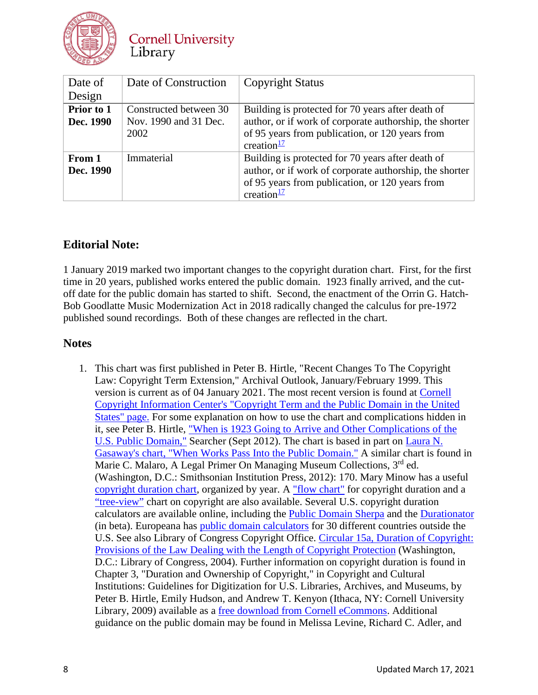

**Cornell University** Library

| Date of                 | Date of Construction                                    | <b>Copyright Status</b>                                                                                                                                                                    |
|-------------------------|---------------------------------------------------------|--------------------------------------------------------------------------------------------------------------------------------------------------------------------------------------------|
| Design                  |                                                         |                                                                                                                                                                                            |
| Prior to 1<br>Dec. 1990 | Constructed between 30<br>Nov. 1990 and 31 Dec.<br>2002 | Building is protected for 70 years after death of<br>author, or if work of corporate authorship, the shorter<br>of 95 years from publication, or 120 years from<br>creation $\frac{17}{2}$ |
| From 1<br>Dec. 1990     | Immaterial                                              | Building is protected for 70 years after death of<br>author, or if work of corporate authorship, the shorter<br>of 95 years from publication, or 120 years from<br>creation $\frac{17}{2}$ |

#### **Editorial Note:**

1 January 2019 marked two important changes to the copyright duration chart. First, for the first time in 20 years, published works entered the public domain. 1923 finally arrived, and the cutoff date for the public domain has started to shift. Second, the enactment of the Orrin G. Hatch-Bob Goodlatte Music Modernization Act in 2018 radically changed the calculus for pre-1972 published sound recordings. Both of these changes are reflected in the chart.

#### **Notes**

<span id="page-7-0"></span>1. This chart was first published in Peter B. Hirtle, "Recent Changes To The Copyright Law: Copyright Term Extension," Archival Outlook, January/February 1999. This version is current as of 04 January 2021. The most recent version is found at [Cornell](https://copyright.cornell.edu/publicdomain)  [Copyright Information Center's "Copyright Term and the Public Domain in the United](https://copyright.cornell.edu/publicdomain)  [States" page.](https://copyright.cornell.edu/publicdomain) For some explanation on how to use the chart and complications hidden in it, see Peter B. Hirtle, ["When is 1923 Going to Arrive and Other Complications of the](http://www.infotoday.com/searcher/sep12/Hirtle--When-Is-1923-Going-to-Arrive-and-Other-Complications-of-the-U.S.-Public-Domain.shtml)  [U.S. Public Domain,"](http://www.infotoday.com/searcher/sep12/Hirtle--When-Is-1923-Going-to-Arrive-and-Other-Complications-of-the-U.S.-Public-Domain.shtml) Searcher (Sept 2012). The chart is based in part on [Laura N.](https://web.archive.org/web/20181108140230/http:/www.unc.edu/%7Eunclng/public-d.htm)  [Gasaway's chart, "When Works Pass Into the Public Domain."](https://web.archive.org/web/20181108140230/http:/www.unc.edu/%7Eunclng/public-d.htm) A similar chart is found in Marie C. Malaro, A Legal Primer On Managing Museum Collections, 3<sup>rd</sup> ed. (Washington, D.C.: Smithsonian Institution Press, 2012): 170. Mary Minow has a useful [copyright duration chart,](http://www.librarylaw.com/DigitizationTable.htm) organized by year. A ["flow chart"](http://sunsteinlaw.com/practices/copyright-portfolio-development/copyright-pointers/copyright-flowchart/) for copyright duration and a ["tree-view"](http://chart.copyrightdata.com/) chart on copyright are also available. Several U.S. copyright duration calculators are available online, including the [Public Domain Sherpa](http://www.publicdomainsherpa.com/calculator.html) and the [Durationator](http://www.durationator.com/) (in beta). Europeana has [public domain calculators](https://archive.outofcopyright.eu/index.html) for 30 different countries outside the U.S. See also Library of Congress Copyright Office. [Circular 15a, Duration of Copyright:](http://www.copyright.gov/circs/circ15a.pdf)  [Provisions of the Law Dealing with the Length of Copyright Protection](http://www.copyright.gov/circs/circ15a.pdf) (Washington, D.C.: Library of Congress, 2004). Further information on copyright duration is found in Chapter 3, "Duration and Ownership of Copyright," in Copyright and Cultural Institutions: Guidelines for Digitization for U.S. Libraries, Archives, and Museums, by Peter B. Hirtle, Emily Hudson, and Andrew T. Kenyon (Ithaca, NY: Cornell University Library, 2009) available as a [free download from Cornell eCommons.](http://ecommons.cornell.edu/handle/1813/14142) Additional guidance on the public domain may be found in Melissa Levine, Richard C. Adler, and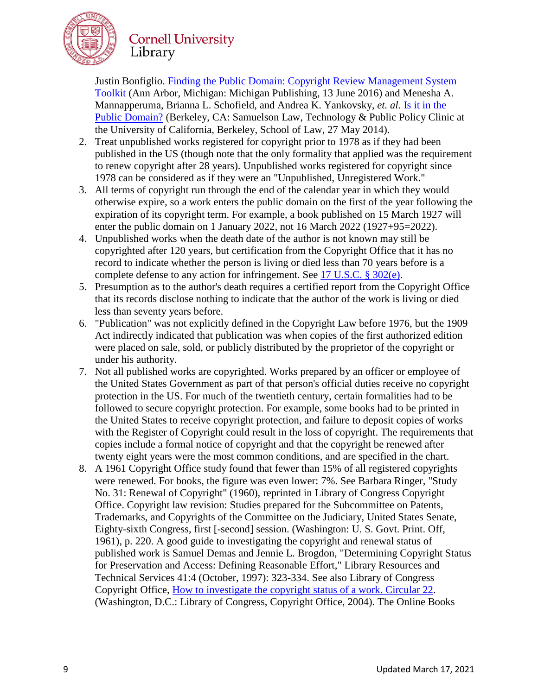

Justin Bonfiglio. [Finding the Public Domain: Copyright Review Management System](http://dx.doi.org/10.3998/crmstoolkit.14616082.0001.001)  [Toolkit](http://dx.doi.org/10.3998/crmstoolkit.14616082.0001.001) (Ann Arbor, Michigan: Michigan Publishing, 13 June 2016) and Menesha A. Mannapperuma, Brianna L. Schofield, and Andrea K. Yankovsky, *et. al.* [Is it in the](https://www.law.berkeley.edu/files/FINAL_PublicDomain_Handbook_FINAL(1).pdf)  [Public Domain?](https://www.law.berkeley.edu/files/FINAL_PublicDomain_Handbook_FINAL(1).pdf) (Berkeley, CA: Samuelson Law, Technology & Public Policy Clinic at the University of California, Berkeley, School of Law, 27 May 2014).

- <span id="page-8-0"></span>2. Treat unpublished works registered for copyright prior to 1978 as if they had been published in the US (though note that the only formality that applied was the requirement to renew copyright after 28 years). Unpublished works registered for copyright since 1978 can be considered as if they were an "Unpublished, Unregistered Work."
- <span id="page-8-1"></span>3. All terms of copyright run through the end of the calendar year in which they would otherwise expire, so a work enters the public domain on the first of the year following the expiration of its copyright term. For example, a book published on 15 March 1927 will enter the public domain on 1 January 2022, not 16 March 2022 (1927+95=2022).
- <span id="page-8-2"></span>4. Unpublished works when the death date of the author is not known may still be copyrighted after 120 years, but certification from the Copyright Office that it has no record to indicate whether the person is living or died less than 70 years before is a complete defense to any action for infringement. See [17 U.S.C. § 302\(e\).](https://www.law.cornell.edu/uscode/text/17/302)
- <span id="page-8-3"></span>5. Presumption as to the author's death requires a certified report from the Copyright Office that its records disclose nothing to indicate that the author of the work is living or died less than seventy years before.
- <span id="page-8-4"></span>6. "Publication" was not explicitly defined in the Copyright Law before 1976, but the 1909 Act indirectly indicated that publication was when copies of the first authorized edition were placed on sale, sold, or publicly distributed by the proprietor of the copyright or under his authority.
- <span id="page-8-5"></span>7. Not all published works are copyrighted. Works prepared by an officer or employee of the United States Government as part of that person's official duties receive no copyright protection in the US. For much of the twentieth century, certain formalities had to be followed to secure copyright protection. For example, some books had to be printed in the United States to receive copyright protection, and failure to deposit copies of works with the Register of Copyright could result in the loss of copyright. The requirements that copies include a formal notice of copyright and that the copyright be renewed after twenty eight years were the most common conditions, and are specified in the chart.
- <span id="page-8-6"></span>8. A 1961 Copyright Office study found that fewer than 15% of all registered copyrights were renewed. For books, the figure was even lower: 7%. See Barbara Ringer, "Study No. 31: Renewal of Copyright" (1960), reprinted in Library of Congress Copyright Office. Copyright law revision: Studies prepared for the Subcommittee on Patents, Trademarks, and Copyrights of the Committee on the Judiciary, United States Senate, Eighty-sixth Congress, first [-second] session. (Washington: U. S. Govt. Print. Off, 1961), p. 220. A good guide to investigating the copyright and renewal status of published work is Samuel Demas and Jennie L. Brogdon, "Determining Copyright Status for Preservation and Access: Defining Reasonable Effort," Library Resources and Technical Services 41:4 (October, 1997): 323-334. See also Library of Congress Copyright Office, [How to investigate the copyright status of a work. Circular 22.](https://www.copyright.gov/circs/circ22.pdf) (Washington, D.C.: Library of Congress, Copyright Office, 2004). The Online Books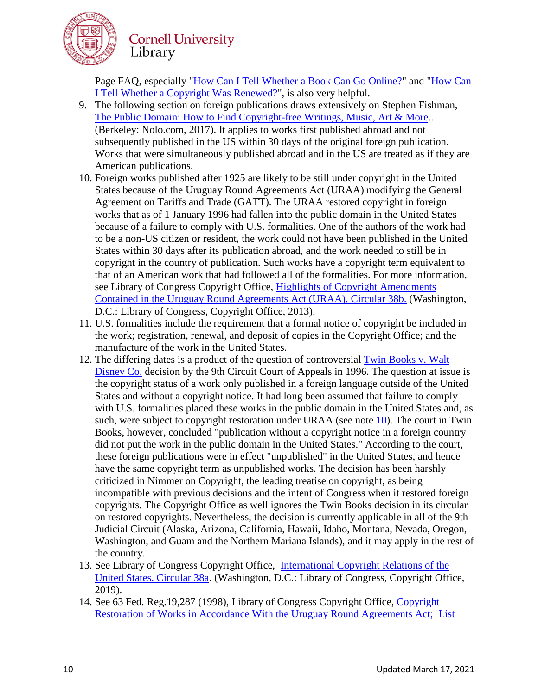

Page FAQ, especially ["How Can I Tell Whether a Book Can Go Online?"](http://onlinebooks.library.upenn.edu/okbooks.html) and ["How Can](http://onlinebooks.library.upenn.edu/renewals.html)  [I Tell Whether a Copyright Was Renewed?"](http://onlinebooks.library.upenn.edu/renewals.html), is also very helpful.

- <span id="page-9-0"></span>9. The following section on foreign publications draws extensively on Stephen Fishman, [The Public Domain: How to Find Copyright-free Writings, Music, Art & More.](http://www.nolo.com/products/the-public-domain-publ.html). (Berkeley: Nolo.com, 2017). It applies to works first published abroad and not subsequently published in the US within 30 days of the original foreign publication. Works that were simultaneously published abroad and in the US are treated as if they are American publications.
- <span id="page-9-1"></span>10. Foreign works published after 1925 are likely to be still under copyright in the United States because of the Uruguay Round Agreements Act (URAA) modifying the General Agreement on Tariffs and Trade (GATT). The URAA restored copyright in foreign works that as of 1 January 1996 had fallen into the public domain in the United States because of a failure to comply with U.S. formalities. One of the authors of the work had to be a non-US citizen or resident, the work could not have been published in the United States within 30 days after its publication abroad, and the work needed to still be in copyright in the country of publication. Such works have a copyright term equivalent to that of an American work that had followed all of the formalities. For more information, see Library of Congress Copyright Office, [Highlights of Copyright Amendments](http://www.copyright.gov/circs/circ38b.pdf)  [Contained in the Uruguay Round Agreements Act \(URAA\). Circular 38b.](http://www.copyright.gov/circs/circ38b.pdf) (Washington, D.C.: Library of Congress, Copyright Office, 2013).
- <span id="page-9-2"></span>11. U.S. formalities include the requirement that a formal notice of copyright be included in the work; registration, renewal, and deposit of copies in the Copyright Office; and the manufacture of the work in the United States.
- 12. The differing dates is a product of the question of controversial [Twin Books v. Walt](http://caselaw.findlaw.com/us-9th-circuit/1304377.html)  [Disney Co.](http://caselaw.findlaw.com/us-9th-circuit/1304377.html) decision by the 9th Circuit Court of Appeals in 1996. The question at issue is the copyright status of a work only published in a foreign language outside of the United States and without a copyright notice. It had long been assumed that failure to comply with U.S. formalities placed these works in the public domain in the United States and, as such, were subject to copyright restoration under URAA (see note [10\)](https://copyright.cornell.edu/publicdomain#Footnote_10). The court in Twin Books, however, concluded "publication without a copyright notice in a foreign country did not put the work in the public domain in the United States." According to the court, these foreign publications were in effect "unpublished" in the United States, and hence have the same copyright term as unpublished works. The decision has been harshly criticized in Nimmer on Copyright, the leading treatise on copyright, as being incompatible with previous decisions and the intent of Congress when it restored foreign copyrights. The Copyright Office as well ignores the Twin Books decision in its circular on restored copyrights. Nevertheless, the decision is currently applicable in all of the 9th Judicial Circuit (Alaska, Arizona, California, Hawaii, Idaho, Montana, Nevada, Oregon, Washington, and Guam and the Northern Mariana Islands), and it may apply in the rest of the country.
- <span id="page-9-3"></span>13. See Library of Congress Copyright Office, [International Copyright Relations of the](http://www.copyright.gov/circs/circ38a.pdf)  [United States. Circular 38a.](http://www.copyright.gov/circs/circ38a.pdf) (Washington, D.C.: Library of Congress, Copyright Office, 2019).
- 14. See 63 Fed. Reg.19,287 (1998), Library of Congress Copyright Office, [Copyright](http://www.copyright.gov/fedreg/1998/63fr19287.pdf)  [Restoration of Works in Accordance With the Uruguay Round Agreements Act;](http://www.copyright.gov/fedreg/1998/63fr19287.pdf) List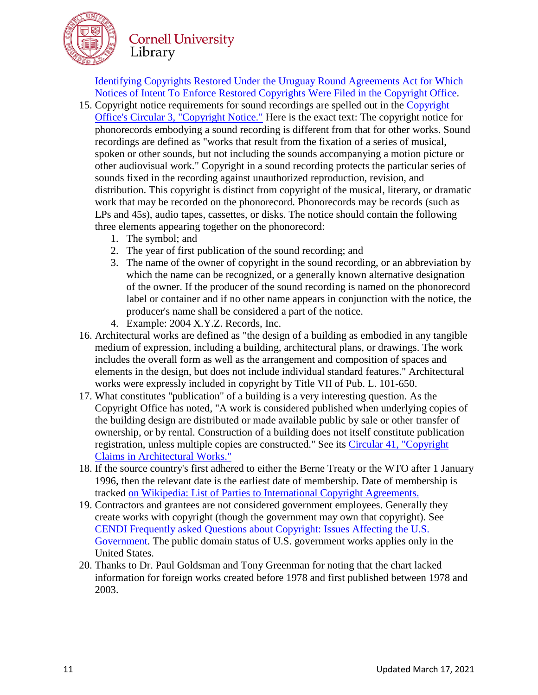

[Identifying Copyrights Restored Under the Uruguay Round Agreements Act for Which](http://www.copyright.gov/fedreg/1998/63fr19287.pdf)  [Notices of Intent To Enforce Restored Copyrights Were Filed in the Copyright Office.](http://www.copyright.gov/fedreg/1998/63fr19287.pdf)

- 15. Copyright notice requirements for sound recordings are spelled out in the [Copyright](http://www.copyright.gov/circs/circ03.pdf)  [Office's Circular 3, "Copyright Notice."](http://www.copyright.gov/circs/circ03.pdf) Here is the exact text: The copyright notice for phonorecords embodying a sound recording is different from that for other works. Sound recordings are defined as "works that result from the fixation of a series of musical, spoken or other sounds, but not including the sounds accompanying a motion picture or other audiovisual work." Copyright in a sound recording protects the particular series of sounds fixed in the recording against unauthorized reproduction, revision, and distribution. This copyright is distinct from copyright of the musical, literary, or dramatic work that may be recorded on the phonorecord. Phonorecords may be records (such as LPs and 45s), audio tapes, cassettes, or disks. The notice should contain the following three elements appearing together on the phonorecord:
	- 1. The symbol; and
	- 2. The year of first publication of the sound recording; and
	- 3. The name of the owner of copyright in the sound recording, or an abbreviation by which the name can be recognized, or a generally known alternative designation of the owner. If the producer of the sound recording is named on the phonorecord label or container and if no other name appears in conjunction with the notice, the producer's name shall be considered a part of the notice.
	- 4. Example: 2004 X.Y.Z. Records, Inc.
- 16. Architectural works are defined as "the design of a building as embodied in any tangible medium of expression, including a building, architectural plans, or drawings. The work includes the overall form as well as the arrangement and composition of spaces and elements in the design, but does not include individual standard features." Architectural works were expressly included in copyright by Title VII of Pub. L. 101-650.
- 17. What constitutes "publication" of a building is a very interesting question. As the Copyright Office has noted, "A work is considered published when underlying copies of the building design are distributed or made available public by sale or other transfer of ownership, or by rental. Construction of a building does not itself constitute publication registration, unless multiple copies are constructed." See its [Circular 41, "Copyright](http://www.copyright.gov/circs/circ41.pdf)  [Claims in Architectural Works."](http://www.copyright.gov/circs/circ41.pdf)
- <span id="page-10-2"></span>18. If the source country's first adhered to either the Berne Treaty or the WTO after 1 January 1996, then the relevant date is the earliest date of membership. Date of membership is tracked [on Wikipedia: List of Parties to International Copyright Agreements.](http://en.wikipedia.org/wiki/list_of_parties_to_international_copyright_agreements)
- <span id="page-10-0"></span>19. Contractors and grantees are not considered government employees. Generally they create works with copyright (though the government may own that copyright). See [CENDI Frequently asked Questions about Copyright: Issues Affecting the U.S.](https://cendi.gov/publications/FAQ_Copyright_30jan18.pdf)  [Government.](https://cendi.gov/publications/FAQ_Copyright_30jan18.pdf) The public domain status of U.S. government works applies only in the United States.
- <span id="page-10-1"></span>20. Thanks to Dr. Paul Goldsman and Tony Greenman for noting that the chart lacked information for foreign works created before 1978 and first published between 1978 and 2003.